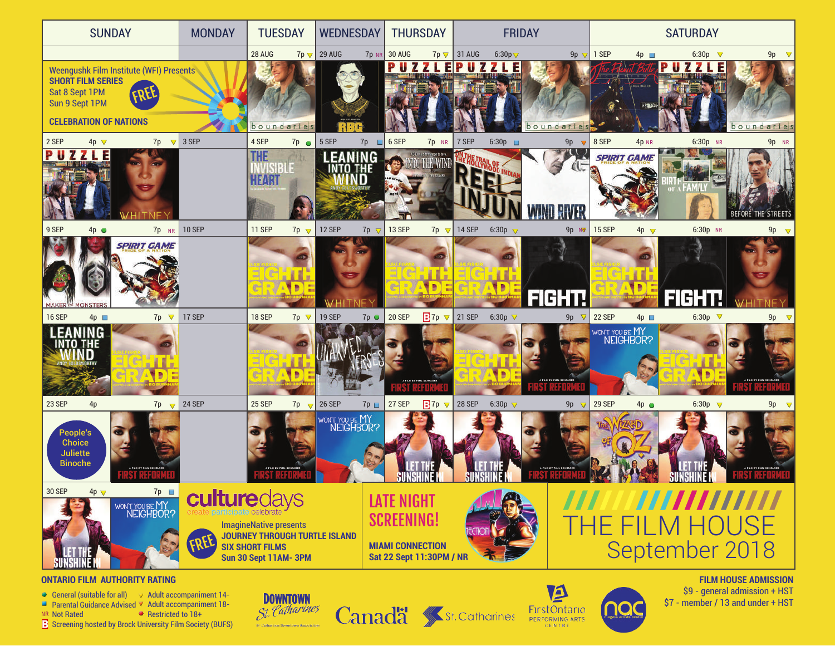